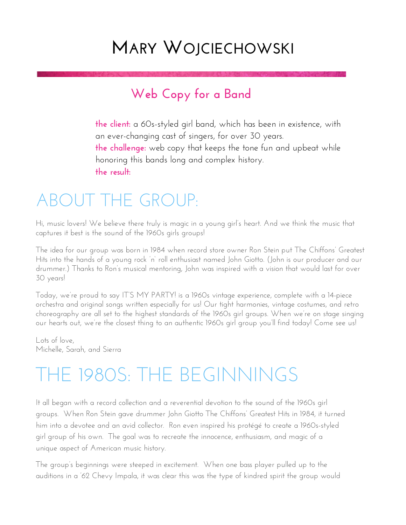### **MARY WOJCIECHOWSKI**

### **Web Copy for a Band**

**the client:** a 60s-styled girl band, which has been in existence, with an ever-changing cast of singers, for over 30 years. **the challenge:** web copy that keeps the tone fun and upbeat while honoring this bands long and complex history. **the result:**

### ABOUT THE GROUP:

Hi, music lovers! We believe there truly is magic in a young girl's heart. And we think the music that captures it best is the sound of the 1960s girls groups!

The idea for our group was born in 1984 when record store owner Ron Stein put The Chiffons' Greatest Hits into the hands of a young rock 'n' roll enthusiast named John Giotto. (John is our producer and our drummer.) Thanks to Ron's musical mentoring, John was inspired with a vision that would last for over 30 years!

Today, we're proud to say IT'S MY PARTY! is a 1960s vintage experience, complete with a 14-piece orchestra and original songs written especially for us! Our tight harmonies, vintage costumes, and retro choreography are all set to the highest standards of the 1960s girl groups. When we're on stage singing our hearts out, we're the closest thing to an authentic 1960s girl group you'll find today! Come see us!

Lots of love, Michelle, Sarah, and Sierra

### THE 1980S: THE BEGINNINGS

It all began with a record collection and a reverential devotion to the sound of the 1960s girl groups. When Ron Stein gave drummer John Giotto The Chiffons' Greatest Hits in 1984, it turned him into a devotee and an avid collector. Ron even inspired his protégé to create a 1960s-styled girl group of his own. The goal was to recreate the innocence, enthusiasm, and magic of a unique aspect of American music history.

The group's beginnings were steeped in excitement. When one bass player pulled up to the auditions in a '62 Chevy Impala, it was clear this was the type of kindred spirit the group would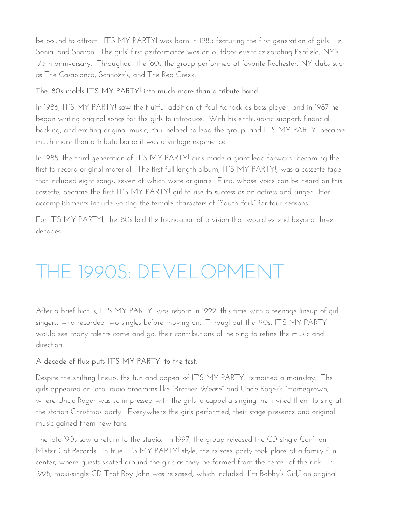be bound to attract. IT'S MY PARTY! was born in 1985 featuring the first generation of girls Liz, Sonia, and Sharon. The girls' first performance was an outdoor event celebrating Penfield, NY's 175th anniversary. Throughout the '80s the group performed at favorite Rochester, NY clubs such as The Casablanca, Schnozz's, and The Red Creek.

#### **The '80s molds IT'S MY PARTY! into much more than a tribute band.**

In 1986, IT'S MY PARTY! saw the fruitful addition of Paul Kanack as bass player, and in 1987 he began writing original songs for the girls to introduce. With his enthusiastic support, financial backing, and exciting original music, Paul helped co-lead the group, and IT'S MY PARTY! became much more than a tribute band; it was a vintage experience.

In 1988, the third generation of IT'S MY PARTY! girls made a giant leap forward, becoming the first to record original material. The first full-length album, IT'S MY PARTY!, was a cassette tape that included eight songs, seven of which were originals. Eliza, whose voice can be heard on this cassette, became the first IT'S MY PARTY! girl to rise to success as an actress and singer. Her accomplishments include voicing the female characters of "South Park" for four seasons.

For IT'S MY PARTY!, the '80s laid the foundation of a vision that would extend beyond three decades.

# THE 1990S: DEVELOPMENT

After a brief hiatus, IT'S MY PARTY! was reborn in 1992, this time with a teenage lineup of girl singers, who recorded two singles before moving on. Throughout the '90s, IT'S MY PARTY would see many talents come and go, their contributions all helping to refine the music and direction.

#### **A decade of flux puts IT'S MY PARTY! to the test.**

Despite the shifting lineup, the fun and appeal of IT'S MY PARTY! remained a mainstay. The girls appeared on local radio programs like "Brother Wease" and Uncle Roger's "Homegrown," where Uncle Roger was so impressed with the girls' a cappella singing, he invited them to sing at the station Christmas party! Everywhere the girls performed, their stage presence and original music gained them new fans.

The late-'90s saw a return to the studio. In 1997, the group released the CD single Can't on Mister Cat Records. In true IT'S MY PARTY! style, the release party took place at a family fun center, where guests skated around the girls as they performed from the center of the rink. In 1998, maxi-single CD That Boy John was released, which included "I'm Bobby's Girl," an original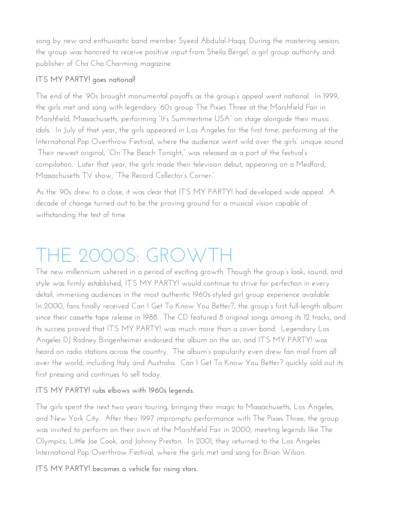song by new and enthusiastic band member Syeed Abdulal-Haqq. During the mastering session, the group was honored to receive positive input from Sheila Bergel, a girl group authority and publisher of Cha Cha Charming magazine.

#### **IT'S MY PARTY! goes national!**

The end of the '90s brought monumental payoffs as the group's appeal went national. In 1999, the girls met and sang with legendary '60s group The Pixies Three at the Marshfield Fair in Marshfield, Massachusetts, performing "It's Summertime USA" on stage alongside their music idols. In July of that year, the girls appeared in Los Angeles for the first time, performing at the International Pop Overthrow Festival, where the audience went wild over the girls' unique sound. Their newest original, "On The Beach Tonight," was released as a part of the festival's compilation. Later that year, the girls made their television debut, appearing on a Medford, Massachusetts TV show, "The Record Collector's Corner."

As the '90s drew to a close, it was clear that IT'S MY PARTY! had developed wide appeal. A decade of change turned out to be the proving ground for a musical vision capable of withstanding the test of time.

# THE 2000S: GROWTH

The new millennium ushered in a period of exciting growth. Though the group's look, sound, and style was firmly established, IT'S MY PARTY! would continue to strive for perfection in every detail, immersing audiences in the most authentic 1960s-styled girl group experience available. In 2000, fans finally received Can I Get To Know You Better?, the group's first full-length album since their cassette tape release in 1988. The CD featured 8 original songs among its 12 tracks, and its success proved that IT'S MY PARTY! was much more than a cover band. Legendary Los Angeles DJ Rodney Bingenheimer endorsed the album on the air, and IT'S MY PARTY! was heard on radio stations across the country. The album's popularity even drew fan mail from all over the world, including Italy and Australia. Can I Get To Know You Better? quickly sold out its first pressing and continues to sell today.

#### **IT'S MY PARTY! rubs elbows with 1960s legends.**

The girls spent the next two years touring, bringing their magic to Massachusetts, Los Angeles, and New York City. After their 1997 impromptu performance with The Pixies Three, the group was invited to perform on their own at the Marshfield Fair in 2000, meeting legends like The Olympics, Little Joe Cook, and Johnny Preston. In 2001, they returned to the Los Angeles International Pop Overthrow Festival, where the girls met and sang for Brian Wilson.

#### **IT'S MY PARTY! becomes a vehicle for rising stars.**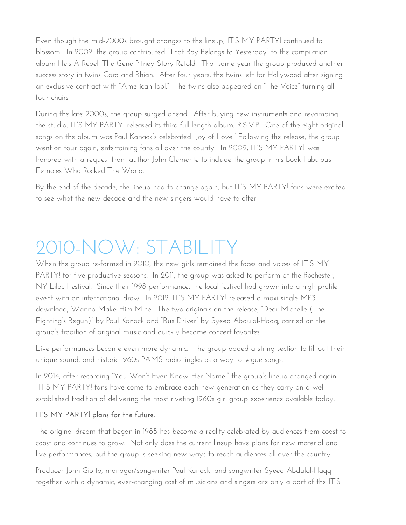Even though the mid-2000s brought changes to the lineup, IT'S MY PARTY! continued to blossom. In 2002, the group contributed "That Boy Belongs to Yesterday" to the compilation album He's A Rebel: The Gene Pitney Story Retold. That same year the group produced another success story in twins Cara and Rhian. After four years, the twins left for Hollywood after signing an exclusive contract with "American Idol." The twins also appeared on "The Voice" turning all four chairs.

During the late 2000s, the group surged ahead. After buying new instruments and revamping the studio, IT'S MY PARTY! released its third full-length album, R.S.V.P. One of the eight original songs on the album was Paul Kanack's celebrated "Joy of Love." Following the release, the group went on tour again, entertaining fans all over the county. In 2009, IT'S MY PARTY! was honored with a request from author John Clemente to include the group in his book Fabulous Females Who Rocked The World.

By the end of the decade, the lineup had to change again, but IT'S MY PARTY! fans were excited to see what the new decade and the new singers would have to offer.

# $2010\text{-}\mathrm{NOW: STATEI}$

When the group re-formed in 2010, the new girls remained the faces and voices of IT'S MY PARTY! for five productive seasons. In 2011, the group was asked to perform at the Rochester, NY Lilac Festival. Since their 1998 performance, the local festival had grown into a high profile event with an international draw. In 2012, IT'S MY PARTY! released a maxi-single MP3 download, Wanna Make Him Mine. The two originals on the release, "Dear Michelle (The Fighting's Begun)" by Paul Kanack and "Bus Driver" by Syeed Abdulal-Haqq, carried on the group's tradition of original music and quickly became concert favorites.

Live performances became even more dynamic. The group added a string section to fill out their unique sound, and historic 1960s PAMS radio jingles as a way to segue songs.

In 2014, after recording "You Won't Even Know Her Name," the group's lineup changed again. IT'S MY PARTY! fans have come to embrace each new generation as they carry on a wellestablished tradition of delivering the most riveting 1960s girl group experience available today.

#### **IT'S MY PARTY! plans for the future.**

The original dream that began in 1985 has become a reality celebrated by audiences from coast to coast and continues to grow. Not only does the current lineup have plans for new material and live performances, but the group is seeking new ways to reach audiences all over the country.

Producer John Giotto, manager/songwriter Paul Kanack, and songwriter Syeed Abdulal-Haqq together with a dynamic, ever-changing cast of musicians and singers are only a part of the IT'S